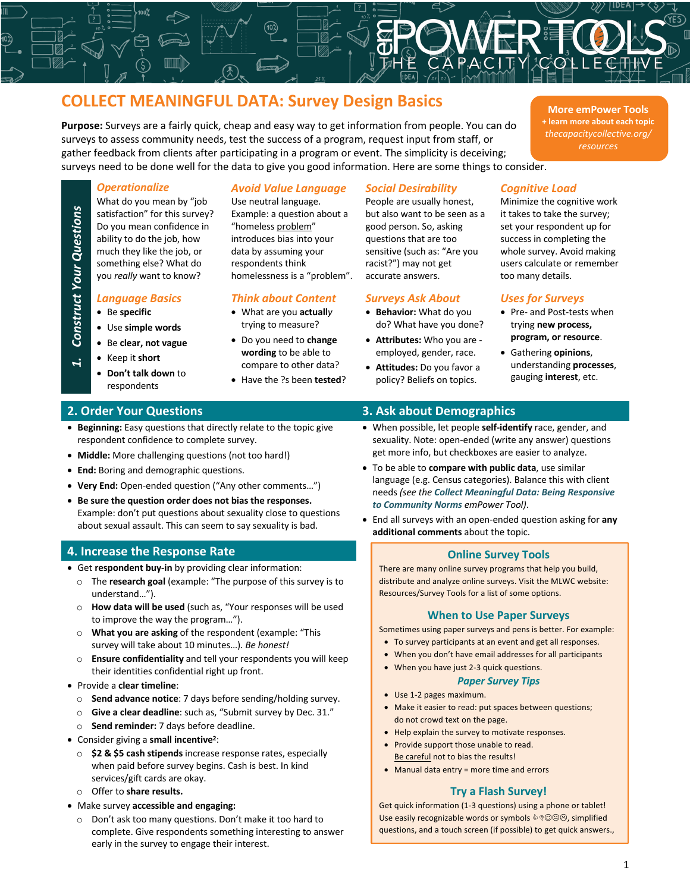# **COLLECT MEANINGFUL DATA: Survey Design Basics**

**Purpose:** Surveys are a fairly quick, cheap and easy way to get information from people. You can do surveys to assess community needs, test the success of a program, request input from staff, or gather feedback from clients after participating in a program or event. The simplicity is deceiving; surveys need to be done well for the data to give you good information. Here are some things to consider.

**More emPower Tools + learn more about each topic** *thecapacitycollective.org/ resources*

What do you mean by "job satisfaction" for this survey? Do you mean confidence in ability to do the job, how much they like the job, or something else? What do you *really* want to know?

• Be **specific**

*1. Construct Your Questions*

**Construct Your Questions** 

- Use **simple words**
- Be **clear, not vague**
- Keep it **short**
	- **Don't talk down** to respondents

# *Operationalize Avoid Value Language Social Desirability Cognitive Load*

Use neutral language. Example: a question about a "homeless problem" introduces bias into your data by assuming your respondents think homelessness is a "problem".

### *Language Basics Think about Content Surveys Ask About Uses for Surveys*

- What are you **actuall***y*  trying to measure?
- Do you need to **change wording** to be able to compare to other data?
- Have the ?s been **tested**?

People are usually honest, but also want to be seen as a good person. So, asking questions that are too sensitive (such as: "Are you racist?") may not get accurate answers.

- **Behavior:** What do you do? What have you done?
- **Attributes:** Who you are employed, gender, race.
- **Attitudes:** Do you favor a policy? Beliefs on topics.

Minimize the cognitive work it takes to take the survey; set your respondent up for success in completing the whole survey. Avoid making users calculate or remember too many details.

- Pre- and Post-tests when trying **new process, program, or resource**.
- Gathering **opinions**, understanding **processes**, gauging **interest**, etc.

- **Beginning:** Easy questions that directly relate to the topic give respondent confidence to complete survey.
- **Middle:** More challenging questions (not too hard!)
- **End:** Boring and demographic questions.
- **Very End:** Open-ended question ("Any other comments…")
- **Be sure the question order does not bias the responses.** Example: don't put questions about sexuality close to questions about sexual assault. This can seem to say sexuality is bad.

### **4. Increase the Response Rate**

- Get **respondent buy-in** by providing clear information:
	- o The **research goal** (example: "The purpose of this survey is to understand…").
	- o **How data will be used** (such as, "Your responses will be used to improve the way the program…").
	- o **What you are asking** of the respondent (example: "This survey will take about 10 minutes…). *Be honest!*
	- o **Ensure confidentiality** and tell your respondents you will keep their identities confidential right up front.
- Provide a **clear timeline**:
	- o **Send advance notice**: 7 days before sending/holding survey.
	- o **Give a clear deadline**: such as, "Submit survey by Dec. 31."
	- o **Send reminder:** 7 days before deadline.
- Consider giving a **small incentive2**:
	- o **\$2 & \$5 cash stipends** increase response rates, especially when paid before survey begins. Cash is best. In kind services/gift cards are okay.
	- o Offer to **share results.**
- Make survey **accessible and engaging:**
	- o Don't ask too many questions. Don't make it too hard to complete. Give respondents something interesting to answer early in the survey to engage their interest.

## **2. Order Your Questions 3. Ask about Demographics**

- When possible, let people **self-identify** race, gender, and sexuality. Note: open-ended (write any answer) questions get more info, but checkboxes are easier to analyze.
- To be able to **compare with public data**, use similar language (e.g. Census categories). Balance this with client needs *(see the Collect Meaningful Data: Being Responsive to Community Norms emPower Tool)*.
- End all surveys with an open-ended question asking for **any additional comments** about the topic.

### **Online Survey Tools**

There are many online survey programs that help you build, distribute and analyze online surveys. Visit the MLWC website: Resources/Survey Tools for a list of some options.

### **When to Use Paper Surveys**

Sometimes using paper surveys and pens is better. For example:

- To survey participants at an event and get all responses.
- When you don't have email addresses for all participants
- When you have just 2-3 quick questions.

### *Paper Survey Tips*

- Use 1-2 pages maximum.
- Make it easier to read: put spaces between questions; do not crowd text on the page.
- Help explain the survey to motivate responses.
- Provide support those unable to read. Be careful not to bias the results!
- Manual data entry = more time and errors

### **Try a Flash Survey!**

Get quick information (1-3 questions) using a phone or tablet! Use easily recognizable words or symbols  $\Diamond \Diamond \Theta \otimes$ , simplified questions, and a touch screen (if possible) to get quick answers.,